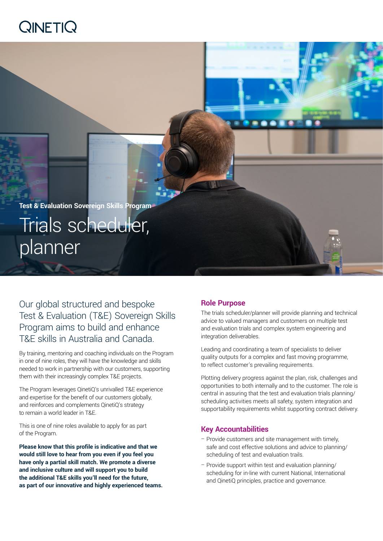# QINETIQ

**Test & Evaluation Sovereign Skills Program** Trials scheduler, planner

Our global structured and bespoke Test & Evaluation (T&E) Sovereign Skills Program aims to build and enhance T&E skills in Australia and Canada.

By training, mentoring and coaching individuals on the Program in one of nine roles, they will have the knowledge and skills needed to work in partnership with our customers, supporting them with their increasingly complex T&E projects.

The Program leverages QinetiQ's unrivalled T&E experience and expertise for the benefit of our customers globally, and reinforces and complements QinetiQ's strategy to remain a world leader in T&E.

This is one of nine roles available to apply for as part of the Program.

**Please know that this profile is indicative and that we would still love to hear from you even if you feel you have only a partial skill match. We promote a diverse and inclusive culture and will support you to build the additional T&E skills you'll need for the future, as part of our innovative and highly experienced teams.**

## **Role Purpose**

The trials scheduler/planner will provide planning and technical advice to valued managers and customers on multiple test and evaluation trials and complex system engineering and integration deliverables.

**ED** 

Leading and coordinating a team of specialists to deliver quality outputs for a complex and fast moving programme, to reflect customer's prevailing requirements.

Plotting delivery progress against the plan, risk, challenges and opportunities to both internally and to the customer. The role is central in assuring that the test and evaluation trials planning/ scheduling activities meets all safety, system integration and supportability requirements whilst supporting contract delivery.

#### **Key Accountabilities**

- Provide customers and site management with timely, safe and cost effective solutions and advice to planning/ scheduling of test and evaluation trails.
- Provide support within test and evaluation planning/ scheduling for in-line with current National, International and QinetiQ principles, practice and governance.